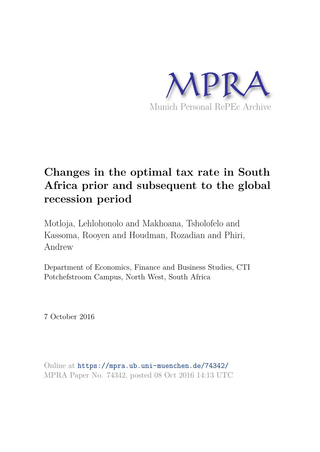

# **Changes in the optimal tax rate in South Africa prior and subsequent to the global recession period**

Motloja, Lehlohonolo and Makhoana, Tsholofelo and Kassoma, Rooyen and Houdman, Rozadian and Phiri, Andrew

Department of Economics, Finance and Business Studies, CTI Potchefstroom Campus, North West, South Africa

7 October 2016

Online at https://mpra.ub.uni-muenchen.de/74342/ MPRA Paper No. 74342, posted 08 Oct 2016 14:13 UTC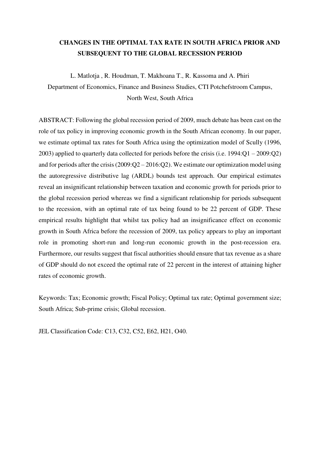# **CHANGES IN THE OPTIMAL TAX RATE IN SOUTH AFRICA PRIOR AND SUBSEQUENT TO THE GLOBAL RECESSION PERIOD**

L. Matlotja , R. Houdman, T. Makhoana T., R. Kassoma and A. Phiri Department of Economics, Finance and Business Studies, CTI Potchefstroom Campus, North West, South Africa

ABSTRACT: Following the global recession period of 2009, much debate has been cast on the role of tax policy in improving economic growth in the South African economy. In our paper, we estimate optimal tax rates for South Africa using the optimization model of Scully (1996, 2003) applied to quarterly data collected for periods before the crisis (i.e. 1994:Q1 – 2009:Q2) and for periods after the crisis (2009:Q2 – 2016:Q2). We estimate our optimization model using the autoregressive distributive lag (ARDL) bounds test approach. Our empirical estimates reveal an insignificant relationship between taxation and economic growth for periods prior to the global recession period whereas we find a significant relationship for periods subsequent to the recession, with an optimal rate of tax being found to be 22 percent of GDP. These empirical results highlight that whilst tax policy had an insignificance effect on economic growth in South Africa before the recession of 2009, tax policy appears to play an important role in promoting short-run and long-run economic growth in the post-recession era. Furthermore, our results suggest that fiscal authorities should ensure that tax revenue as a share of GDP should do not exceed the optimal rate of 22 percent in the interest of attaining higher rates of economic growth.

Keywords: Tax; Economic growth; Fiscal Policy; Optimal tax rate; Optimal government size; South Africa; Sub-prime crisis; Global recession.

JEL Classification Code: C13, C32, C52, E62, H21, O40.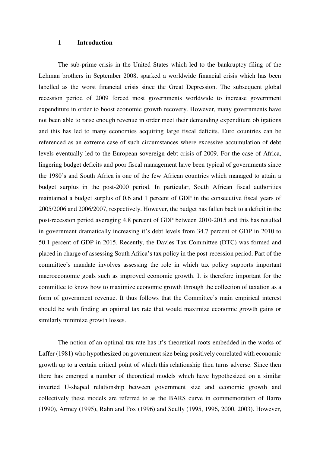#### **1 Introduction**

The sub-prime crisis in the United States which led to the bankruptcy filing of the Lehman brothers in September 2008, sparked a worldwide financial crisis which has been labelled as the worst financial crisis since the Great Depression. The subsequent global recession period of 2009 forced most governments worldwide to increase government expenditure in order to boost economic growth recovery. However, many governments have not been able to raise enough revenue in order meet their demanding expenditure obligations and this has led to many economies acquiring large fiscal deficits. Euro countries can be referenced as an extreme case of such circumstances where excessive accumulation of debt levels eventually led to the European sovereign debt crisis of 2009. For the case of Africa, lingering budget deficits and poor fiscal management have been typical of governments since the 1980's and South Africa is one of the few African countries which managed to attain a budget surplus in the post-2000 period. In particular, South African fiscal authorities maintained a budget surplus of 0.6 and 1 percent of GDP in the consecutive fiscal years of 2005/2006 and 2006/2007, respectively. However, the budget has fallen back to a deficit in the post-recession period averaging 4.8 percent of GDP between 2010-2015 and this has resulted in government dramatically increasing it's debt levels from 34.7 percent of GDP in 2010 to 50.1 percent of GDP in 2015. Recently, the Davies Tax Committee (DTC) was formed and placed in charge of assessing South Africa's tax policy in the post-recession period. Part of the committee's mandate involves assessing the role in which tax policy supports important macroeconomic goals such as improved economic growth. It is therefore important for the committee to know how to maximize economic growth through the collection of taxation as a form of government revenue. It thus follows that the Committee's main empirical interest should be with finding an optimal tax rate that would maximize economic growth gains or similarly minimize growth losses.

The notion of an optimal tax rate has it's theoretical roots embedded in the works of Laffer (1981) who hypothesized on government size being positively correlated with economic growth up to a certain critical point of which this relationship then turns adverse. Since then there has emerged a number of theoretical models which have hypothesized on a similar inverted U-shaped relationship between government size and economic growth and collectively these models are referred to as the BARS curve in commemoration of Barro (1990), Armey (1995), Rahn and Fox (1996) and Scully (1995, 1996, 2000, 2003). However,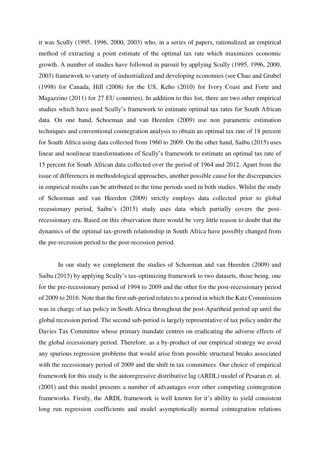it was Scully (1995, 1996, 2000, 2003) who, in a series of papers, rationalized an empirical method of extracting a point estimate of the optimal tax rate which maximizes economic growth. A number of studies have followed in pursuit by applying Scully (1995, 1996, 2000, 2003) framework to variety of industrialized and developing economies (see Chao and Grubel (1998) for Canada, Hill (2008) for the US, Keho (2010) for Ivory Coast and Forte and Magazzino (2011) for 27 EU countries). In addition to this list, there are two other empirical studies which have used Scully's framework to estimate optimal tax rates for South African data. On one hand, Schoeman and van Heerden (2009) use non parametric estimation techniques and conventional cointegration analysis to obtain an optimal tax rate of 18 percent for South Africa using data collected from 1960 to 2009. On the other hand, Saibu (2015) uses linear and nonlinear transformations of Scully's framework to estimate an optimal tax rate of 15 percent for South African data collected over the period of 1964 and 2012. Apart from the issue of differences in methodological approaches, another possible cause for the discrepancies in empirical results can be attributed to the time periods used in both studies. Whilst the study of Schoeman and van Heerden (2009) strictly employs data collected prior to global recessionary period, Saibu's (2015) study uses data which partially covers the postrecessionary era. Based on this observation there would be very little reason to doubt that the dynamics of the optimal tax-growth relationship in South Africa have possibly changed from the pre-recession period to the post-recession period.

In our study we complement the studies of Schoeman and van Heerden (2009) and Saibu (2015) by applying Scully's tax-optimizing framework to two datasets, those being, one for the pre-recessionary period of 1994 to 2009 and the other for the post-recessionary period of 2009 to 2016. Note that the first sub-period relates to a period in which the Katz Commission was in charge of tax policy in South Africa throughout the post-Apartheid period up until the global recession period. The second sub-period is largely representative of tax policy under the Davies Tax Committee whose primary mandate centres on eradicating the adverse effects of the global recessionary period. Therefore, as a by-product of our empirical strategy we avoid any spurious regression problems that would arise from possible structural breaks associated with the recessionary period of 2009 and the shift in tax committees. Our choice of empirical framework for this study is the autoregressive distributive lag (ARDL) model of Pesaran et. al. (2001) and this model presents a number of advantages over other competing cointegration frameworks. Firstly, the ARDL framework is well known for it's ability to yield consistent long run regression coefficients and model asymptotically normal cointegration relations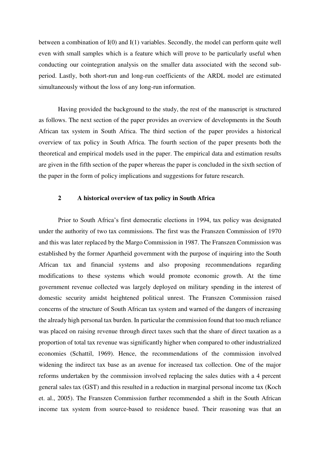between a combination of I(0) and I(1) variables. Secondly, the model can perform quite well even with small samples which is a feature which will prove to be particularly useful when conducting our cointegration analysis on the smaller data associated with the second subperiod. Lastly, both short-run and long-run coefficients of the ARDL model are estimated simultaneously without the loss of any long-run information.

Having provided the background to the study, the rest of the manuscript is structured as follows. The next section of the paper provides an overview of developments in the South African tax system in South Africa. The third section of the paper provides a historical overview of tax policy in South Africa. The fourth section of the paper presents both the theoretical and empirical models used in the paper. The empirical data and estimation results are given in the fifth section of the paper whereas the paper is concluded in the sixth section of the paper in the form of policy implications and suggestions for future research.

## **2 A historical overview of tax policy in South Africa**

Prior to South Africa's first democratic elections in 1994, tax policy was designated under the authority of two tax commissions. The first was the Franszen Commission of 1970 and this was later replaced by the Margo Commission in 1987. The Franszen Commission was established by the former Apartheid government with the purpose of inquiring into the South African tax and financial systems and also proposing recommendations regarding modifications to these systems which would promote economic growth. At the time government revenue collected was largely deployed on military spending in the interest of domestic security amidst heightened political unrest. The Franszen Commission raised concerns of the structure of South African tax system and warned of the dangers of increasing the already high personal tax burden. In particular the commission found that too much reliance was placed on raising revenue through direct taxes such that the share of direct taxation as a proportion of total tax revenue was significantly higher when compared to other industrialized economies (Schattil, 1969). Hence, the recommendations of the commission involved widening the indirect tax base as an avenue for increased tax collection. One of the major reforms undertaken by the commission involved replacing the sales duties with a 4 percent general sales tax (GST) and this resulted in a reduction in marginal personal income tax (Koch et. al., 2005). The Franszen Commission further recommended a shift in the South African income tax system from source-based to residence based. Their reasoning was that an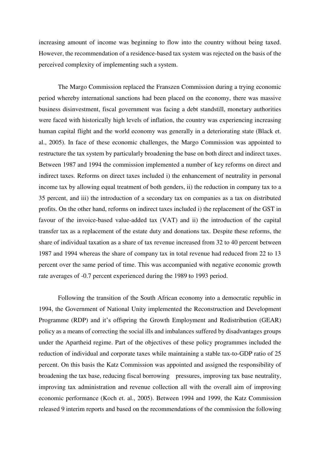increasing amount of income was beginning to flow into the country without being taxed. However, the recommendation of a residence-based tax system was rejected on the basis of the perceived complexity of implementing such a system.

The Margo Commission replaced the Franszen Commission during a trying economic period whereby international sanctions had been placed on the economy, there was massive business disinvestment, fiscal government was facing a debt standstill, monetary authorities were faced with historically high levels of inflation, the country was experiencing increasing human capital flight and the world economy was generally in a deteriorating state (Black et. al., 2005). In face of these economic challenges, the Margo Commission was appointed to restructure the tax system by particularly broadening the base on both direct and indirect taxes. Between 1987 and 1994 the commission implemented a number of key reforms on direct and indirect taxes. Reforms on direct taxes included i) the enhancement of neutrality in personal income tax by allowing equal treatment of both genders, ii) the reduction in company tax to a 35 percent, and iii) the introduction of a secondary tax on companies as a tax on distributed profits. On the other hand, reforms on indirect taxes included i) the replacement of the GST in favour of the invoice-based value-added tax (VAT) and ii) the introduction of the capital transfer tax as a replacement of the estate duty and donations tax. Despite these reforms, the share of individual taxation as a share of tax revenue increased from 32 to 40 percent between 1987 and 1994 whereas the share of company tax in total revenue had reduced from 22 to 13 percent over the same period of time. This was accompanied with negative economic growth rate averages of -0.7 percent experienced during the 1989 to 1993 period.

Following the transition of the South African economy into a democratic republic in 1994, the Government of National Unity implemented the Reconstruction and Development Programme (RDP) and it's offspring the Growth Employment and Redistribution (GEAR) policy as a means of correcting the social ills and imbalances suffered by disadvantages groups under the Apartheid regime. Part of the objectives of these policy programmes included the reduction of individual and corporate taxes while maintaining a stable tax-to-GDP ratio of 25 percent. On this basis the Katz Commission was appointed and assigned the responsibility of broadening the tax base, reducing fiscal borrowing pressures, improving tax base neutrality, improving tax administration and revenue collection all with the overall aim of improving economic performance (Koch et. al., 2005). Between 1994 and 1999, the Katz Commission released 9 interim reports and based on the recommendations of the commission the following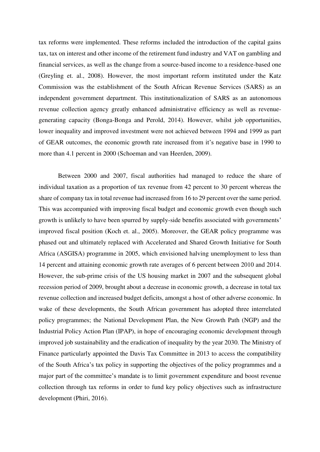tax reforms were implemented. These reforms included the introduction of the capital gains tax, tax on interest and other income of the retirement fund industry and VAT on gambling and financial services, as well as the change from a source-based income to a residence-based one (Greyling et. al., 2008). However, the most important reform instituted under the Katz Commission was the establishment of the South African Revenue Services (SARS) as an independent government department. This institutionalization of SARS as an autonomous revenue collection agency greatly enhanced administrative efficiency as well as revenuegenerating capacity (Bonga-Bonga and Perold, 2014). However, whilst job opportunities, lower inequality and improved investment were not achieved between 1994 and 1999 as part of GEAR outcomes, the economic growth rate increased from it's negative base in 1990 to more than 4.1 percent in 2000 (Schoeman and van Heerden, 2009).

Between 2000 and 2007, fiscal authorities had managed to reduce the share of individual taxation as a proportion of tax revenue from 42 percent to 30 percent whereas the share of company tax in total revenue had increased from 16 to 29 percent over the same period. This was accompanied with improving fiscal budget and economic growth even though such growth is unlikely to have been spurred by supply-side benefits associated with governments' improved fiscal position (Koch et. al., 2005). Moreover, the GEAR policy programme was phased out and ultimately replaced with Accelerated and Shared Growth Initiative for South Africa (ASGISA) programme in 2005, which envisioned halving unemployment to less than 14 percent and attaining economic growth rate averages of 6 percent between 2010 and 2014. However, the sub-prime crisis of the US housing market in 2007 and the subsequent global recession period of 2009, brought about a decrease in economic growth, a decrease in total tax revenue collection and increased budget deficits, amongst a host of other adverse economic. In wake of these developments, the South African government has adopted three interrelated policy programmes; the National Development Plan, the New Growth Path (NGP) and the Industrial Policy Action Plan (IPAP), in hope of encouraging economic development through improved job sustainability and the eradication of inequality by the year 2030. The Ministry of Finance particularly appointed the Davis Tax Committee in 2013 to access the compatibility of the South Africa's tax policy in supporting the objectives of the policy programmes and a major part of the committee's mandate is to limit government expenditure and boost revenue collection through tax reforms in order to fund key policy objectives such as infrastructure development (Phiri, 2016).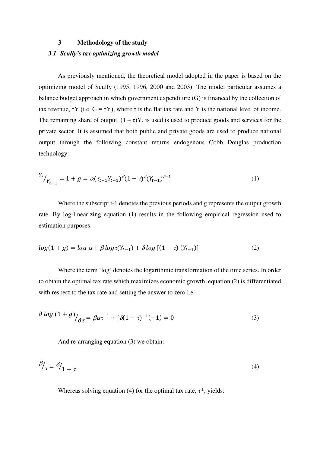# **3 Methodology of the study**  *3.1 Scully's tax optimizing growth model*

As previously mentioned, the theoretical model adopted in the paper is based on the optimizing model of Scully (1995, 1996, 2000 and 2003). The model particular assumes a balance budget approach in which government expenditure (G) is financed by the collection of tax revenue,  $\tau Y$  (i.e.  $G = \tau Y$ ), where  $\tau$  is the flat tax rate and Y is the national level of income. The remaining share of output,  $(1 - \tau)Y$ , is used is used to produce goods and services for the private sector. It is assumed that both public and private goods are used to produce national output through the following constant returns endogenous Cobb Douglas production technology:

$$
Y_t / Y_{t-1} = 1 + g = \alpha (\tau_{t-1} Y_{t-1})^{\beta} (1 - \tau)^{\delta} (Y_{t-1})^{\delta - 1}
$$
\n(1)

Where the subscript t-1 denotes the previous periods and g represents the output growth rate. By log-linearizing equation (1) results in the following empirical regression used to estimation purposes:

$$
log(1+g) = log \alpha + \beta log \tau(Y_{t-1}) + \delta log [(1-\tau) (Y_{t-1})]
$$
\n(2)

Where the term 'log' denotes the logarithmic transformation of the time series. In order to obtain the optimal tax rate which maximizes economic growth, equation (2) is differentiated with respect to the tax rate and setting the answer to zero i.e.

$$
\frac{\partial \log (1+g)}{\partial \tau} = \beta \alpha \tau^{-1} + [\delta (1-\tau)^{-1}(-1)] = 0 \tag{3}
$$

And re-arranging equation (3) we obtain:

$$
\beta_{\tau} = \delta_{1-\tau} \tag{4}
$$

Whereas solving equation (4) for the optimal tax rate,  $\tau^*$ , yields: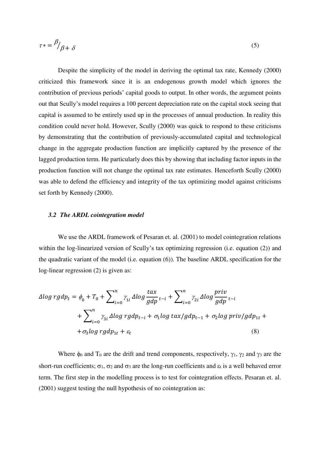$$
\tau \ast = \frac{\beta}{\beta + \delta} \tag{5}
$$

Despite the simplicity of the model in deriving the optimal tax rate, Kennedy (2000) criticized this framework since it is an endogenous growth model which ignores the contribution of previous periods' capital goods to output. In other words, the argument points out that Scully's model requires a 100 percent depreciation rate on the capital stock seeing that capital is assumed to be entirely used up in the processes of annual production. In reality this condition could never hold. However, Scully (2000) was quick to respond to these criticisms by demonstrating that the contribution of previously-accumulated capital and technological change in the aggregate production function are implicitly captured by the presence of the lagged production term. He particularly does this by showing that including factor inputs in the production function will not change the optimal tax rate estimates. Henceforth Scully (2000) was able to defend the efficiency and integrity of the tax optimizing model against criticisms set forth by Kennedy (2000).

### *3.2 The ARDL cointegration model*

We use the ARDL framework of Pesaran et. al. (2001) to model cointegration relations within the log-linearized version of Scully's tax optimizing regression (i.e. equation (2)) and the quadratic variant of the model (i.e. equation (6)). The baseline ARDL specification for the log-linear regression (2) is given as:

$$
\Delta log\ rgdp_t = \phi_0 + T_0 + \sum_{i=0}^n \gamma_{1i} \Delta log\ \frac{tax}{gdp} \, t-i + \sum_{i=0}^n \gamma_{2i} \Delta log\ \frac{priv}{gdp} \, t-i
$$

$$
+ \sum_{i=0}^n \gamma_{3i} \Delta log\ rgdp_{t-i} + \sigma_1 log\ tax/gdp_{t-1} + \sigma_2 log\ priv/gdp_{1t} + \sigma_3 log\ rgdp_{1t} + \varepsilon_t \tag{8}
$$

Where  $\phi_0$  and T<sub>0</sub> are the drift and trend components, respectively,  $\gamma_1$ ,  $\gamma_2$  and  $\gamma_3$  are the short-run coefficients;  $\sigma_1$ ,  $\sigma_2$  and  $\sigma_3$  are the long-run coefficients and  $\epsilon_t$  is a well behaved error term. The first step in the modelling process is to test for cointegration effects. Pesaran et. al. (2001) suggest testing the null hypothesis of no cointegration as: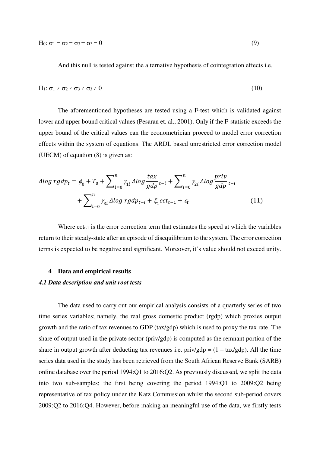And this null is tested against the alternative hypothesis of cointegration effects i.e.

$$
H_1: \sigma_1 \neq \sigma_2 \neq \sigma_3 \neq \sigma_3 \neq 0 \tag{10}
$$

 The aforementioned hypotheses are tested using a F-test which is validated against lower and upper bound critical values (Pesaran et. al., 2001). Only if the F-statistic exceeds the upper bound of the critical values can the econometrician proceed to model error correction effects within the system of equations. The ARDL based unrestricted error correction model (UECM) of equation (8) is given as:

$$
\Delta log\ rgdp_t = \phi_0 + T_0 + \sum_{i=0}^n \gamma_{1i} \Delta log\ \frac{tax}{gdp} \, t_{-i} + \sum_{i=0}^n \gamma_{2i} \Delta log\ \frac{priv}{gdp} \, t_{-i}
$$
\n
$$
+ \sum_{i=0}^n \gamma_{3i} \Delta log\ rgdp_{t-i} + \xi_1 ect_{t-1} + \varepsilon_t \tag{11}
$$

Where  $ect_{t-1}$  is the error correction term that estimates the speed at which the variables return to their steady-state after an episode of disequilibrium to the system. The error correction terms is expected to be negative and significant. Moreover, it's value should not exceed unity.

#### **4 Data and empirical results**

#### *4.1 Data description and unit root tests*

The data used to carry out our empirical analysis consists of a quarterly series of two time series variables; namely, the real gross domestic product (rgdp) which proxies output growth and the ratio of tax revenues to GDP (tax/gdp) which is used to proxy the tax rate. The share of output used in the private sector (priv/gdp) is computed as the remnant portion of the share in output growth after deducting tax revenues i.e.  $\pi$ iv/gdp =  $(1 - \frac{tax/gdp}{.}$  All the time series data used in the study has been retrieved from the South African Reserve Bank (SARB) online database over the period 1994:Q1 to 2016:Q2. As previously discussed, we split the data into two sub-samples; the first being covering the period 1994:Q1 to 2009:Q2 being representative of tax policy under the Katz Commission whilst the second sub-period covers 2009:Q2 to 2016:Q4. However, before making an meaningful use of the data, we firstly tests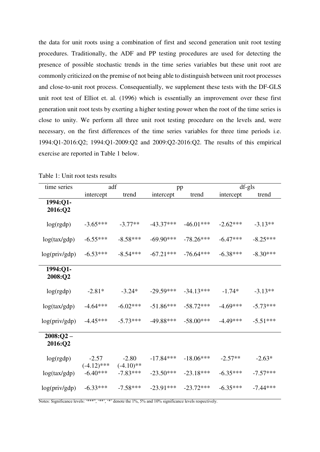the data for unit roots using a combination of first and second generation unit root testing procedures. Traditionally, the ADF and PP testing procedures are used for detecting the presence of possible stochastic trends in the time series variables but these unit root are commonly criticized on the premise of not being able to distinguish between unit root processes and close-to-unit root process. Consequentially, we supplement these tests with the DF-GLS unit root test of Elliot et. al. (1996) which is essentially an improvement over these first generation unit root tests by exerting a higher testing power when the root of the time series is close to unity. We perform all three unit root testing procedure on the levels and, were necessary, on the first differences of the time series variables for three time periods i.e. 1994:Q1-2016:Q2; 1994:Q1-2009:Q2 and 2009:Q2-2016:Q2. The results of this empirical exercise are reported in Table 1 below.

| time series           | adf                      |                         | pp          |             | $df-gls$   |            |
|-----------------------|--------------------------|-------------------------|-------------|-------------|------------|------------|
|                       | intercept                | trend                   | intercept   | trend       | intercept  | trend      |
| 1994:Q1-<br>2016:Q2   |                          |                         |             |             |            |            |
| log(rgdp)             | $-3.65***$               | $-3.77**$               | $-43.37***$ | $-46.01***$ | $-2.62***$ | $-3.13**$  |
| log(tax/gdp)          | $-6.55***$               | $-8.58***$              | $-69.90***$ | $-78.26***$ | $-6.47***$ | $-8.25***$ |
| log(priv/gdp)         | $-6.53***$               | $-8.54***$              | $-67.21***$ | $-76.64***$ | $-6.38***$ | $-8.30***$ |
| 1994:Q1-<br>2008:Q2   |                          |                         |             |             |            |            |
| log(rgdp)             | $-2.81*$                 | $-3.24*$                | $-29.59***$ | $-34.13***$ | $-1.74*$   | $-3.13**$  |
| log(tax/gdp)          | $-4.64***$               | $-6.02***$              | $-51.86***$ | $-58.72***$ | $-4.69***$ | $-5.73***$ |
| log(priv/gdp)         | $-4.45***$               | $-5.73***$              | $-49.88***$ | $-58.00***$ | $-4.49***$ | $-5.51***$ |
| $2008:Q2-$<br>2016:Q2 |                          |                         |             |             |            |            |
| log(rgdp)             | $-2.57$<br>$(-4.12)$ *** | $-2.80$<br>$(-4.10)$ ** | $-17.84***$ | $-18.06***$ | $-2.57**$  | $-2.63*$   |
| log(tax/gdp)          | $-6.40***$               | $-7.83***$              | $-23.50***$ | $-23.18***$ | $-6.35***$ | $-7.57***$ |
| log(priv/gdp)         | $-6.33***$               | $-7.58***$              | $-23.91***$ | $-23.72***$ | $-6.35***$ | $-7.44***$ |

Table 1: Unit root tests results

Notes: Significance levels: '\*\*\*', '\*\*', '\*' denote the 1%, 5% and 10% significance levels respectively.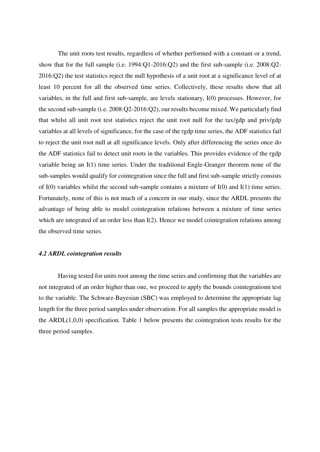The unit roots test results, regardless of whether performed with a constant or a trend, show that for the full sample (i.e. 1994:Q1-2016:Q2) and the first sub-sample (i.e. 2008:Q2- 2016:Q2) the test statistics reject the null hypothesis of a unit root at a significance level of at least 10 percent for all the observed time series. Collectively, these results show that all variables, in the full and first sub-sample, are levels stationary, I(0) processes. However, for the second sub-sample (i.e. 2008:Q2-2016:Q2), our results become mixed. We particularly find that whilst all unit root test statistics reject the unit root null for the tax/gdp and priv/gdp variables at all levels of significance, for the case of the rgdp time series, the ADF statistics fail to reject the unit root null at all significance levels. Only after differencing the series once do the ADF statistics fail to detect unit roots in the variables. This provides evidence of the rgdp variable being an I(1) time series. Under the traditional Engle-Granger theorem none of the sub-samples would qualify for cointegration since the full and first sub-sample strictly consists of I(0) variables whilst the second sub-sample contains a mixture of I(0) and I(1) time series. Fortunately, none of this is not much of a concern in our study, since the ARDL presents the advantage of being able to model cointegration relations between a mixture of time series which are integrated of an order less than I(2). Hence we model cointegration relations among the observed time series.

#### *4.2 ARDL cointegration results*

Having tested for units root among the time series and confirming that the variables are not integrated of an order higher than one, we proceed to apply the bounds cointegrationn test to the variable. The Schwarz-Bayesian (SBC) was employed to determine the appropriate lag length for the three period samples under observation. For all samples the appropriate model is the ARDL(1,0,0) specification. Table 1 below presents the cointegration tests results for the three period samples.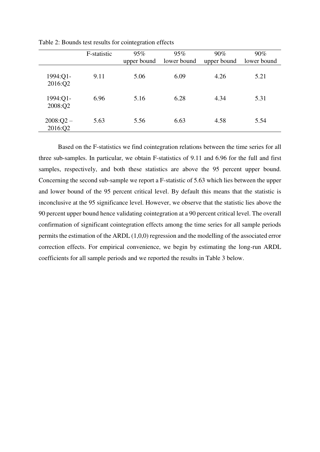|                        | F-statistic | 95%<br>upper bound | 95%<br>lower bound | $90\%$<br>upper bound | $90\%$<br>lower bound |
|------------------------|-------------|--------------------|--------------------|-----------------------|-----------------------|
| 1994:Q1-<br>2016:Q2    | 9.11        | 5.06               | 6.09               | 4.26                  | 5.21                  |
| 1994:Q1-<br>2008:Q2    | 6.96        | 5.16               | 6.28               | 4.34                  | 5.31                  |
| $2008:Q2 -$<br>2016:Q2 | 5.63        | 5.56               | 6.63               | 4.58                  | 5.54                  |

Table 2: Bounds test results for cointegration effects

Based on the F-statistics we find cointegration relations between the time series for all three sub-samples. In particular, we obtain F-statistics of 9.11 and 6.96 for the full and first samples, respectively, and both these statistics are above the 95 percent upper bound. Concerning the second sub-sample we report a F-statistic of 5.63 which lies between the upper and lower bound of the 95 percent critical level. By default this means that the statistic is inconclusive at the 95 significance level. However, we observe that the statistic lies above the 90 percent upper bound hence validating cointegration at a 90 percent critical level. The overall confirmation of significant cointegration effects among the time series for all sample periods permits the estimation of the ARDL (1,0,0) regression and the modelling of the associated error correction effects. For empirical convenience, we begin by estimating the long-run ARDL coefficients for all sample periods and we reported the results in Table 3 below.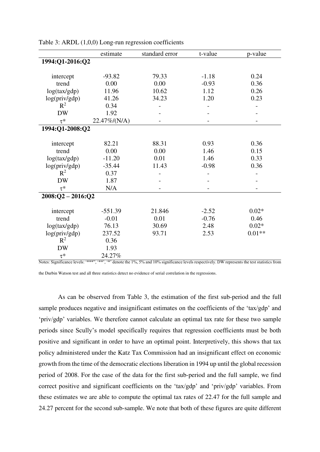|                     | estimate     | standard error | t-value | p-value  |  |
|---------------------|--------------|----------------|---------|----------|--|
| 1994:Q1-2016:Q2     |              |                |         |          |  |
|                     |              |                |         |          |  |
| intercept           | $-93.82$     | 79.33          | $-1.18$ | 0.24     |  |
| trend               | 0.00         | 0.00           | $-0.93$ | 0.36     |  |
| log(tax/gdp)        | 11.96        | 10.62          | 1.12    | 0.26     |  |
| log(priv/gdp)       | 41.26        | 34.23          | 1.20    | 0.23     |  |
| $R^2$               | 0.34         |                |         |          |  |
| <b>DW</b>           | 1.92         |                |         |          |  |
| $\tau^*$            | 22.47%/(N/A) |                |         |          |  |
| 1994:Q1-2008:Q2     |              |                |         |          |  |
|                     |              |                |         |          |  |
| intercept           | 82.21        | 88.31          | 0.93    | 0.36     |  |
| trend               | 0.00         | 0.00           | 1.46    | 0.15     |  |
| log(tax/gdp)        | $-11.20$     | 0.01           | 1.46    | 0.33     |  |
| log(priv/gdp)       | $-35.44$     | 11.43          | $-0.98$ | 0.36     |  |
| $R^2$               | 0.37         |                |         |          |  |
| <b>DW</b>           | 1.87         |                |         |          |  |
| $\tau^*$            | N/A          |                |         |          |  |
| $2008:Q2 - 2016:Q2$ |              |                |         |          |  |
|                     |              |                |         |          |  |
| intercept           | $-551.39$    | 21.846         | $-2.52$ | $0.02*$  |  |
| trend               | $-0.01$      | 0.01           | $-0.76$ | 0.46     |  |
| log(tax/gdp)        | 76.13        | 30.69          | 2.48    | $0.02*$  |  |
| log(priv/gdp)       | 237.52       | 93.71          | 2.53    | $0.01**$ |  |
| $R^2$               | 0.36         |                |         |          |  |
| <b>DW</b>           | 1.93         |                |         |          |  |
| $\tau^*$            | 24.27%       |                |         |          |  |

Table 3: ARDL (1,0,0) Long-run regression coefficients

Notes: Significance levels: '\*\*\*', '\*\*', '\*' denote the 1%, 5% and 10% significance levels respectively. DW represents the test statistics from

the Durbin Watson test and all three statistics detect no evidence of serial correlation in the regressions.

As can be observed from Table 3, the estimation of the first sub-period and the full sample produces negative and insignificant estimates on the coefficients of the 'tax/gdp' and 'priv/gdp' variables. We therefore cannot calculate an optimal tax rate for these two sample periods since Scully's model specifically requires that regression coefficients must be both positive and significant in order to have an optimal point. Interpretively, this shows that tax policy administered under the Katz Tax Commission had an insignificant effect on economic growth from the time of the democratic elections liberation in 1994 up until the global recession period of 2008. For the case of the data for the first sub-period and the full sample, we find correct positive and significant coefficients on the 'tax/gdp' and 'priv/gdp' variables. From these estimates we are able to compute the optimal tax rates of 22.47 for the full sample and 24.27 percent for the second sub-sample. We note that both of these figures are quite different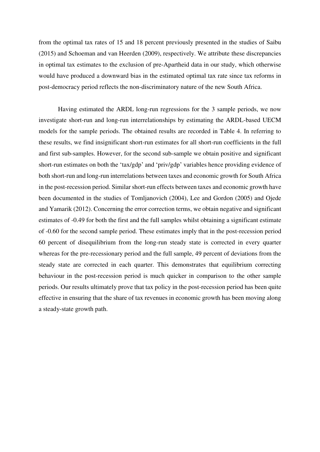from the optimal tax rates of 15 and 18 percent previously presented in the studies of Saibu (2015) and Schoeman and van Heerden (2009), respectively. We attribute these discrepancies in optimal tax estimates to the exclusion of pre-Apartheid data in our study, which otherwise would have produced a downward bias in the estimated optimal tax rate since tax reforms in post-democracy period reflects the non-discriminatory nature of the new South Africa.

 Having estimated the ARDL long-run regressions for the 3 sample periods, we now investigate short-run and long-run interrelationships by estimating the ARDL-based UECM models for the sample periods. The obtained results are recorded in Table 4. In referring to these results, we find insignificant short-run estimates for all short-run coefficients in the full and first sub-samples. However, for the second sub-sample we obtain positive and significant short-run estimates on both the 'tax/gdp' and 'priv/gdp' variables hence providing evidence of both short-run and long-run interrelations between taxes and economic growth for South Africa in the post-recession period. Similar short-run effects between taxes and economic growth have been documented in the studies of Tomljanovich (2004), Lee and Gordon (2005) and Ojede and Yamarik (2012). Concerning the error correction terms, we obtain negative and significant estimates of -0.49 for both the first and the full samples whilst obtaining a significant estimate of -0.60 for the second sample period. These estimates imply that in the post-recession period 60 percent of disequilibrium from the long-run steady state is corrected in every quarter whereas for the pre-recessionary period and the full sample, 49 percent of deviations from the steady state are corrected in each quarter. This demonstrates that equilibrium correcting behaviour in the post-recession period is much quicker in comparison to the other sample periods. Our results ultimately prove that tax policy in the post-recession period has been quite effective in ensuring that the share of tax revenues in economic growth has been moving along a steady-state growth path.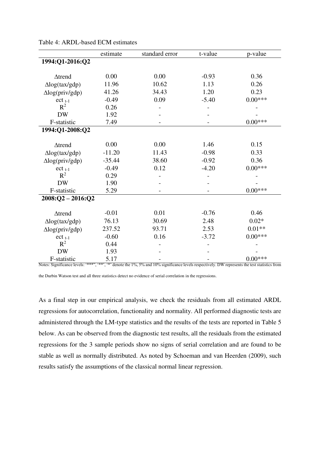|                        | estimate | standard error | t-value | p-value   |
|------------------------|----------|----------------|---------|-----------|
| 1994:Q1-2016:Q2        |          |                |         |           |
|                        |          |                |         |           |
| $\triangle$ trend      | 0.00     | 0.00           | $-0.93$ | 0.36      |
| $\Delta$ log(tax/gdp)  | 11.96    | 10.62          | 1.13    | 0.26      |
| $\Delta$ log(priv/gdp) | 41.26    | 34.43          | 1.20    | 0.23      |
| $ect_{t-1}$            | $-0.49$  | 0.09           | $-5.40$ | $0.00***$ |
| $R^2$                  | 0.26     |                |         |           |
| <b>DW</b>              | 1.92     |                |         |           |
| F-statistic            | 7.49     |                |         | $0.00***$ |
| 1994:Q1-2008:Q2        |          |                |         |           |
|                        |          |                |         |           |
| $\triangle$ trend      | 0.00     | 0.00           | 1.46    | 0.15      |
| $\Delta$ log(tax/gdp)  | $-11.20$ | 11.43          | $-0.98$ | 0.33      |
| $\Delta$ log(priv/gdp) | $-35.44$ | 38.60          | $-0.92$ | 0.36      |
| $ect_{t-1}$            | $-0.49$  | 0.12           | $-4.20$ | $0.00***$ |
| $R^2$                  | 0.29     |                |         |           |
| <b>DW</b>              | 1.90     |                |         |           |
| F-statistic            | 5.29     |                |         | $0.00***$ |
| $2008:Q2 - 2016:Q2$    |          |                |         |           |
|                        |          |                |         |           |
| $\triangle$ trend      | $-0.01$  | 0.01           | $-0.76$ | 0.46      |
| $\Delta$ log(tax/gdp)  | 76.13    | 30.69          | 2.48    | $0.02*$   |
| $\Delta$ log(priv/gdp) | 237.52   | 93.71          | 2.53    | $0.01**$  |
| $ect_{t-1}$            | $-0.60$  | 0.16           | $-3.72$ | $0.00***$ |
| $R^2$                  | 0.44     |                |         |           |
| <b>DW</b>              | 1.93     |                |         |           |
| F-statistic            | 5.17     |                |         | $0.00***$ |

Table 4: ARDL-based ECM estimates

Notes: Significance levels: '\*\*\*', '\*\*', '\*' denote the 1%, 5% and 10% significance levels respectively. DW represents the test statistics from

the Durbin Watson test and all three statistics detect no evidence of serial correlation in the regressions.

As a final step in our empirical analysis, we check the residuals from all estimated ARDL regressions for autocorrelation, functionality and normality. All performed diagnostic tests are administered through the LM-type statistics and the results of the tests are reported in Table 5 below. As can be observed from the diagnostic test results, all the residuals from the estimated regressions for the 3 sample periods show no signs of serial correlation and are found to be stable as well as normally distributed. As noted by Schoeman and van Heerden (2009), such results satisfy the assumptions of the classical normal linear regression.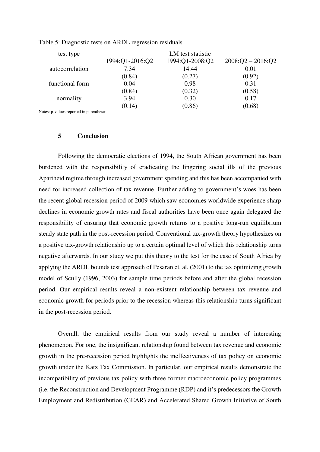| test type       |                 |                                      |                     |
|-----------------|-----------------|--------------------------------------|---------------------|
|                 | 1994:Q1-2016:Q2 | LM test statistic<br>1994:Q1-2008:Q2 | $2008:Q2 - 2016:Q2$ |
| autocorrelation | 7.34            | 14.44                                | 0.01                |
|                 | (0.84)          | (0.27)                               | (0.92)              |
| functional form | 0.04            | 0.98                                 | 0.31                |
|                 | (0.84)          | (0.32)                               | (0.58)              |
| normality       | 3.94            | 0.30                                 | 0.17                |
|                 | (0.14)          | (0.86)                               | (0.68)              |

Table 5: Diagnostic tests on ARDL regression residuals

Notes: p-values reported in parentheses.

## **5 Conclusion**

Following the democratic elections of 1994, the South African government has been burdened with the responsibility of eradicating the lingering social ills of the previous Apartheid regime through increased government spending and this has been accompanied with need for increased collection of tax revenue. Further adding to government's woes has been the recent global recession period of 2009 which saw economies worldwide experience sharp declines in economic growth rates and fiscal authorities have been once again delegated the responsibility of ensuring that economic growth returns to a positive long-run equilibrium steady state path in the post-recession period. Conventional tax-growth theory hypothesizes on a positive tax-growth relationship up to a certain optimal level of which this relationship turns negative afterwards. In our study we put this theory to the test for the case of South Africa by applying the ARDL bounds test approach of Pesaran et. al. (2001) to the tax optimizing growth model of Scully (1996, 2003) for sample time periods before and after the global recession period. Our empirical results reveal a non-existent relationship between tax revenue and economic growth for periods prior to the recession whereas this relationship turns significant in the post-recession period.

Overall, the empirical results from our study reveal a number of interesting phenomenon. For one, the insignificant relationship found between tax revenue and economic growth in the pre-recession period highlights the ineffectiveness of tax policy on economic growth under the Katz Tax Commission. In particular, our empirical results demonstrate the incompatibility of previous tax policy with three former macroeconomic policy programmes (i.e. the Reconstruction and Development Programme (RDP) and it's predecessors the Growth Employment and Redistribution (GEAR) and Accelerated Shared Growth Initiative of South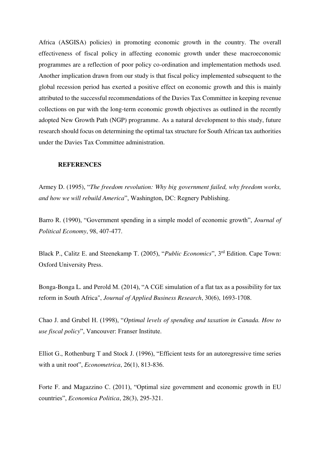Africa (ASGISA) policies) in promoting economic growth in the country. The overall effectiveness of fiscal policy in affecting economic growth under these macroeconomic programmes are a reflection of poor policy co-ordination and implementation methods used. Another implication drawn from our study is that fiscal policy implemented subsequent to the global recession period has exerted a positive effect on economic growth and this is mainly attributed to the successful recommendations of the Davies Tax Committee in keeping revenue collections on par with the long-term economic growth objectives as outlined in the recently adopted New Growth Path (NGP) programme. As a natural development to this study, future research should focus on determining the optimal tax structure for South African tax authorities under the Davies Tax Committee administration.

#### **REFERENCES**

Armey D. (1995), "*The freedom revolution: Why big government failed, why freedom works, and how we will rebuild America*", Washington, DC: Regnery Publishing.

Barro R. (1990), "Government spending in a simple model of economic growth", *Journal of Political Economy*, 98, 407-477.

Black P., Calitz E. and Steenekamp T. (2005), "*Public Economics*", 3rd Edition. Cape Town: Oxford University Press.

Bonga-Bonga L. and Perold M. (2014), "A CGE simulation of a flat tax as a possibility for tax reform in South Africa", *Journal of Applied Business Research*, 30(6), 1693-1708.

Chao J. and Grubel H. (1998), "*Optimal levels of spending and taxation in Canada. How to use fiscal policy*", Vancouver: Franser Institute.

Elliot G., Rothenburg T and Stock J. (1996), "Efficient tests for an autoregressive time series with a unit root", *Econometrica*, 26(1), 813-836.

Forte F. and Magazzino C. (2011), "Optimal size government and economic growth in EU countries", *Economica Politica*, 28(3), 295-321.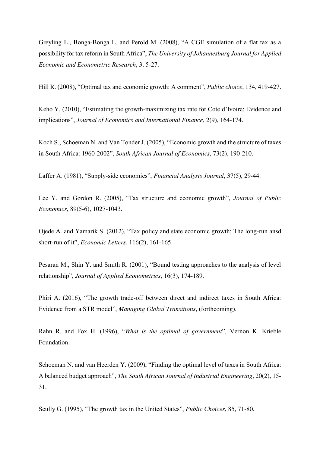Greyling L., Bonga-Bonga L. and Perold M. (2008), "A CGE simulation of a flat tax as a possibility for tax reform in South Africa", *The University of Johannesburg Journal for Applied Economic and Econometric Research*, 3, 5-27.

Hill R. (2008), "Optimal tax and economic growth: A comment", *Public choice*, 134, 419-427.

Keho Y. (2010), "Estimating the growth-maximizing tax rate for Cote d'Ivoire: Evidence and implications", *Journal of Economics and International Finance*, 2(9), 164-174.

Koch S., Schoeman N. and Van Tonder J. (2005), "Economic growth and the structure of taxes in South Africa: 1960-2002", *South African Journal of Economics*, 73(2), 190-210.

Laffer A. (1981), "Supply-side economics", *Financial Analysts Journal*, 37(5), 29-44.

Lee Y. and Gordon R. (2005), "Tax structure and economic growth", *Journal of Public Economics*, 89(5-6), 1027-1043.

Ojede A. and Yamarik S. (2012), "Tax policy and state economic growth: The long-run ansd short-run of it", *Economic Letters*, 116(2), 161-165.

Pesaran M., Shin Y. and Smith R. (2001), "Bound testing approaches to the analysis of level relationship", *Journal of Applied Econometrics*, 16(3), 174-189.

Phiri A. (2016), "The growth trade-off between direct and indirect taxes in South Africa: Evidence from a STR model", *Managing Global Transitions*, (forthcoming).

Rahn R. and Fox H. (1996), "*What is the optimal of government*", Vernon K. Krieble Foundation.

Schoeman N. and van Heerden Y. (2009), "Finding the optimal level of taxes in South Africa: A balanced budget approach", *The South African Journal of Industrial Engineering*, 20(2), 15- 31.

Scully G. (1995), "The growth tax in the United States", *Public Choices*, 85, 71-80.